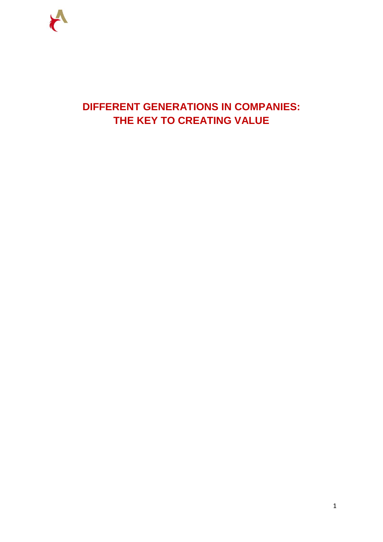

# **DIFFERENT GENERATIONS IN COMPANIES: THE KEY TO CREATING VALUE**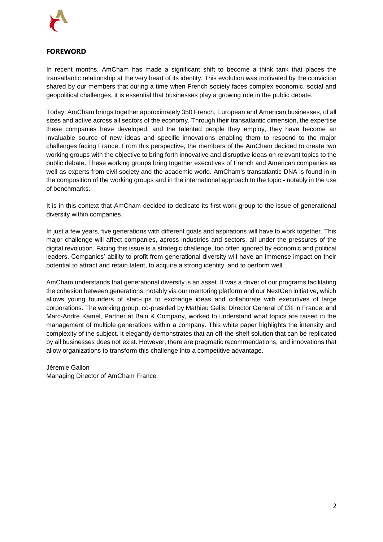

# <span id="page-1-0"></span>**FOREWORD**

In recent months, AmCham has made a significant shift to become a think tank that places the transatlantic relationship at the very heart of its identity. This evolution was motivated by the conviction shared by our members that during a time when French society faces complex economic, social and geopolitical challenges, it is essential that businesses play a growing role in the public debate.

Today, AmCham brings together approximately 350 French, European and American businesses, of all sizes and active across all sectors of the economy. Through their transatlantic dimension, the expertise these companies have developed, and the talented people they employ, they have become an invaluable source of new ideas and specific innovations enabling them to respond to the major challenges facing France. From this perspective, the members of the AmCham decided to create two working groups with the objective to bring forth innovative and disruptive ideas on relevant topics to the public debate. These working groups bring together executives of French and American companies as well as experts from civil society and the academic world. AmCham's transatlantic DNA is found in in the composition of the working groups and in the international approach to the topic - notably in the use of benchmarks.

It is in this context that AmCham decided to dedicate its first work group to the issue of generational diversity within companies.

In just a few years, five generations with different goals and aspirations will have to work together. This major challenge will affect companies, across industries and sectors, all under the pressures of the digital revolution. Facing this issue is a strategic challenge, too often ignored by economic and political leaders. Companies' ability to profit from generational diversity will have an immense impact on their potential to attract and retain talent, to acquire a strong identity, and to perform well.

AmCham understands that generational diversity is an asset. It was a driver of our programs facilitating the cohesion between generations, notably via our mentoring platform and our NextGen initiative, which allows young founders of start-ups to exchange ideas and collaborate with executives of large corporations. The working group, co-presided by Mathieu Gelis, Director General of Citi in France, and Marc-Andre Kamel, Partner at Bain & Company, worked to understand what topics are raised in the management of multiple generations within a company. This white paper highlights the intensity and complexity of the subject. It elegantly demonstrates that an off-the-shelf solution that can be replicated by all businesses does not exist. However, there are pragmatic recommendations, and innovations that allow organizations to transform this challenge into a competitive advantage.

Jérémie Gallon Managing Director of AmCham France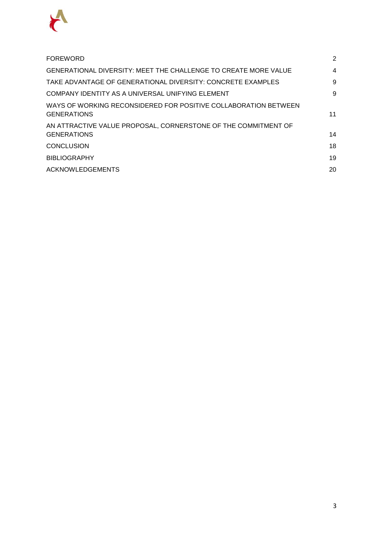

| <b>FOREWORD</b>                                                                       | 2  |
|---------------------------------------------------------------------------------------|----|
| GENERATIONAL DIVERSITY: MEET THE CHALLENGE TO CREATE MORE VALUE                       | 4  |
| TAKE ADVANTAGE OF GENERATIONAL DIVERSITY: CONCRETE EXAMPLES                           | 9  |
| COMPANY IDENTITY AS A UNIVERSAL UNIFYING ELEMENT                                      | 9  |
| WAYS OF WORKING RECONSIDERED FOR POSITIVE COLLABORATION BETWEEN<br><b>GENERATIONS</b> | 11 |
| AN ATTRACTIVE VALUE PROPOSAL, CORNERSTONE OF THE COMMITMENT OF                        |    |
| <b>GENERATIONS</b>                                                                    | 14 |
| CONCLUSION                                                                            | 18 |
| <b>BIBLIOGRAPHY</b>                                                                   | 19 |
| <b>ACKNOWLEDGEMENTS</b>                                                               | 20 |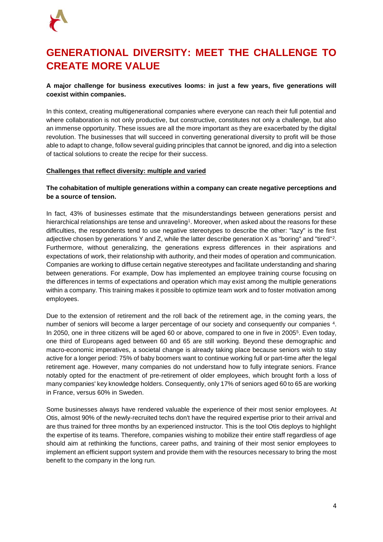

# <span id="page-3-0"></span>**GENERATIONAL DIVERSITY: MEET THE CHALLENGE TO CREATE MORE VALUE**

# **A major challenge for business executives looms: in just a few years, five generations will coexist within companies.**

In this context, creating multigenerational companies where everyone can reach their full potential and where collaboration is not only productive, but constructive, constitutes not only a challenge, but also an immense opportunity. These issues are all the more important as they are exacerbated by the digital revolution. The businesses that will succeed in converting generational diversity to profit will be those able to adapt to change, follow several guiding principles that cannot be ignored, and dig into a selection of tactical solutions to create the recipe for their success.

# **Challenges that reflect diversity: multiple and varied**

# **The cohabitation of multiple generations within a company can create negative perceptions and be a source of tension.**

In fact, 43% of businesses estimate that the misunderstandings between generations persist and hierarchical relationships are tense and unraveling<sup>1</sup>. Moreover, when asked about the reasons for these difficulties, the respondents tend to use negative stereotypes to describe the other: "lazy" is the first adjective chosen by generations Y and Z, while the latter describe generation X as "boring" and "tired"<sup>2</sup>. Furthermore, without generalizing, the generations express differences in their aspirations and expectations of work, their relationship with authority, and their modes of operation and communication. Companies are working to diffuse certain negative stereotypes and facilitate understanding and sharing between generations. For example, Dow has implemented an employee training course focusing on the differences in terms of expectations and operation which may exist among the multiple generations within a company. This training makes it possible to optimize team work and to foster motivation among employees.

Due to the extension of retirement and the roll back of the retirement age, in the coming years, the number of seniors will become a larger percentage of our society and consequently our companies 4. In 2050, one in three citizens will be aged 60 or above, compared to one in five in 2005<sup>5</sup> . Even today, one third of Europeans aged between 60 and 65 are still working. Beyond these demographic and macro-economic imperatives, a societal change is already taking place because seniors wish to stay active for a longer period: 75% of baby boomers want to continue working full or part-time after the legal retirement age. However, many companies do not understand how to fully integrate seniors. France notably opted for the enactment of pre-retirement of older employees, which brought forth a loss of many companies' key knowledge holders. Consequently, only 17% of seniors aged 60 to 65 are working in France, versus 60% in Sweden.

Some businesses always have rendered valuable the experience of their most senior employees. At Otis, almost 90% of the newly-recruited techs don't have the required expertise prior to their arrival and are thus trained for three months by an experienced instructor. This is the tool Otis deploys to highlight the expertise of its teams. Therefore, companies wishing to mobilize their entire staff regardless of age should aim at rethinking the functions, career paths, and training of their most senior employees to implement an efficient support system and provide them with the resources necessary to bring the most benefit to the company in the long run.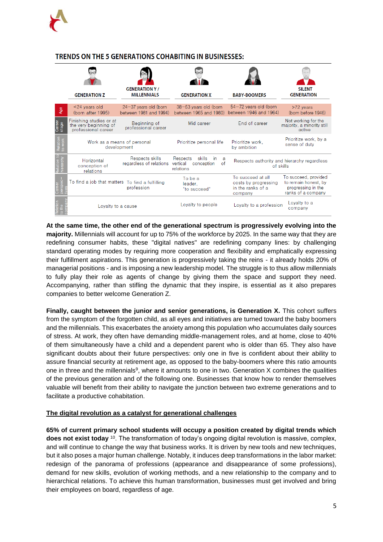

# **TRENDS ON THE 5 GENERATIONS COHABITING IN BUSINESSES:**

|                 | <b>GENERATION Z</b>                                                     | <b>GENERATION Y/</b><br><b>MILLENNIALS</b>          | <b>GENERATION X</b>                                                        | <b>BABY-BOOMERS</b>                                                       | <b>SILENT</b><br><b>GENERATION</b>                                                       |
|-----------------|-------------------------------------------------------------------------|-----------------------------------------------------|----------------------------------------------------------------------------|---------------------------------------------------------------------------|------------------------------------------------------------------------------------------|
| Age             | <24 years old<br>(born after 1995)                                      | $24 - 37$ years old (born<br>between 1981 and 1994) | $38 - 53$ years old (born<br>between 1965 and 1980)                        | $54 - 72$ years old (born<br>between 1946 and 1964)                       | >72 years<br>(born before 1946)                                                          |
| Career<br>stage | Finishing studies or at<br>the very beginning of<br>professional career | Beginning of<br>professional career                 | Mid career                                                                 | End of career                                                             | Not working for the<br>majority, a minority still<br>active                              |
| ŏκ<br>$\circ$   | Work as a means of personal<br>development                              |                                                     | Prioritize personal life                                                   | Prioritize work.<br>by ambition                                           | Prioritize work, by a<br>sense of duty                                                   |
|                 | Horizontal<br>conception of<br>relations                                | Respects skills<br>regardless of relations          | skills<br>Respects<br>in<br>a<br>of<br>vertical<br>conception<br>relations | Respects authority and hierarchy regardless<br>of skills                  |                                                                                          |
|                 | To find a job that matters To find a fulfilling                         | profession                                          | To be a<br>leader.<br>"to succeed"                                         | To succeed at all<br>costs by progressing<br>in the ranks of a<br>company | To succeed, provided<br>to remain honest, by<br>progressing in the<br>ranks of a company |
|                 | Loyalty to a cause                                                      |                                                     | Loyalty to people                                                          | Loyalty to a profession                                                   | Loyalty to a<br>company                                                                  |

**At the same time, the other end of the generational spectrum is progressively evolving into the majority.** Millennials will account for up to 75% of the workforce by 2025. In the same way that they are redefining consumer habits, these "digital natives" are redefining company lines: by challenging standard operating modes by requiring more cooperation and flexibility and emphatically expressing their fulfillment aspirations. This generation is progressively taking the reins - it already holds 20% of managerial positions - and is imposing a new leadership model. The struggle is to thus allow millennials to fully play their role as agents of change by giving them the space and support they need. Accompanying, rather than stifling the dynamic that they inspire, is essential as it also prepares companies to better welcome Generation Z.

**Finally, caught between the junior and senior generations, is Generation X.** This cohort suffers from the symptom of the forgotten child, as all eyes and initiatives are turned toward the baby boomers and the millennials. This exacerbates the anxiety among this population who accumulates daily sources of stress. At work, they often have demanding middle-management roles, and at home, close to 40% of them simultaneously have a child and a dependent parent who is older than 65. They also have significant doubts about their future perspectives: only one in five is confident about their ability to assure financial security at retirement age, as opposed to the baby-boomers where this ratio amounts one in three and the millennials<sup>9</sup>, where it amounts to one in two. Generation X combines the qualities of the previous generation and of the following one. Businesses that know how to render themselves valuable will benefit from their ability to navigate the junction between two extreme generations and to facilitate a productive cohabitation.

# **The digital revolution as a catalyst for generational challenges**

**65% of current primary school students will occupy a position created by digital trends which does not exist today** <sup>10</sup>. The transformation of today's ongoing digital revolution is massive, complex, and will continue to change the way that business works. It is driven by new tools and new techniques, but it also poses a major human challenge. Notably, it induces deep transformations in the labor market: redesign of the panorama of professions (appearance and disappearance of some professions), demand for new skills, evolution of working methods, and a new relationship to the company and to hierarchical relations. To achieve this human transformation, businesses must get involved and bring their employees on board, regardless of age.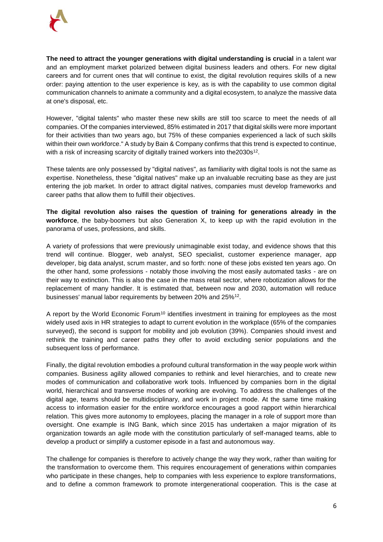

**The need to attract the younger generations with digital understanding is crucial** in a talent war and an employment market polarized between digital business leaders and others. For new digital careers and for current ones that will continue to exist, the digital revolution requires skills of a new order: paying attention to the user experience is key, as is with the capability to use common digital communication channels to animate a community and a digital ecosystem, to analyze the massive data at one's disposal, etc.

However, "digital talents" who master these new skills are still too scarce to meet the needs of all companies. Of the companies interviewed, 85% estimated in 2017 that digital skills were more important for their activities than two years ago, but 75% of these companies experienced a lack of such skills within their own workforce." A study by Bain & Company confirms that this trend is expected to continue, with a risk of increasing scarcity of digitally trained workers into the2030s<sup>12</sup>.

These talents are only possessed by "digital natives", as familiarity with digital tools is not the same as expertise. Nonetheless, these "digital natives" make up an invaluable recruiting base as they are just entering the job market. In order to attract digital natives, companies must develop frameworks and career paths that allow them to fulfill their objectives.

**The digital revolution also raises the question of training for generations already in the workforce**, the baby-boomers but also Generation X, to keep up with the rapid evolution in the panorama of uses, professions, and skills.

A variety of professions that were previously unimaginable exist today, and evidence shows that this trend will continue. Blogger, web analyst, SEO specialist, customer experience manager, app developer, big data analyst, scrum master, and so forth: none of these jobs existed ten years ago. On the other hand, some professions - notably those involving the most easily automated tasks - are on their way to extinction. This is also the case in the mass retail sector, where robotization allows for the replacement of many handler. It is estimated that, between now and 2030, automation will reduce businesses' manual labor requirements by between 20% and 25%<sup>12</sup>.

A report by the World Economic Forum<sup>10</sup> identifies investment in training for employees as the most widely used axis in HR strategies to adapt to current evolution in the workplace (65% of the companies surveyed), the second is support for mobility and job evolution (39%). Companies should invest and rethink the training and career paths they offer to avoid excluding senior populations and the subsequent loss of performance.

Finally, the digital revolution embodies a profound cultural transformation in the way people work within companies. Business agility allowed companies to rethink and level hierarchies, and to create new modes of communication and collaborative work tools. Influenced by companies born in the digital world, hierarchical and transverse modes of working are evolving. To address the challenges of the digital age, teams should be multidisciplinary, and work in project mode. At the same time making access to information easier for the entire workforce encourages a good rapport within hierarchical relation. This gives more autonomy to employees, placing the manager in a role of support more than oversight. One example is ING Bank, which since 2015 has undertaken a major migration of its organization towards an agile mode with the constitution particularly of self-managed teams, able to develop a product or simplify a customer episode in a fast and autonomous way.

The challenge for companies is therefore to actively change the way they work, rather than waiting for the transformation to overcome them. This requires encouragement of generations within companies who participate in these changes, help to companies with less experience to explore transformations, and to define a common framework to promote intergenerational cooperation. This is the case at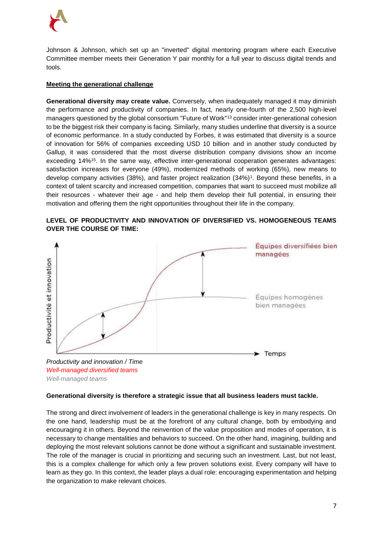

Johnson & Johnson, which set up an "inverted" digital mentoring program where each Executive Committee member meets their Generation Y pair monthly for a full year to discuss digital trends and tools.

# **Meeting the generational challenge**

**Generational diversity may create value.** Conversely, when inadequately managed it may diminish the performance and productivity of companies. In fact, nearly one-fourth of the 2,500 high-level managers questioned by the global consortium "Future of Work"<sup>13</sup> consider inter-generational cohesion to be the biggest risk their company is facing. Similarly, many studies underline that diversity is a source of economic performance. In a study conducted by Forbes, it was estimated that diversity is a source of innovation for 56% of companies exceeding USD 10 billion, and in another study conducted by Gallup, it was considered that the most diverse distribution company divisions show an income exceeding 14%<sup>15</sup>. In the same way, effective inter-generational cooperation generates advantages: satisfaction increases for everyone (49%), modernized methods of working (65%), new means to develop company activities (38%), and faster project realization (34%)<sup>1</sup>. Beyond these benefits, in a context of talent scarcity and increased competition, companies that want to succeed must mobilize all their resources - whatever their age - and help them develop their full potential, in ensuring their motivation and offering them the right opportunities throughout their life in the company.







# **Generational diversity is therefore a strategic issue that all business leaders must tackle.**

The strong and direct involvement of leaders in the generational challenge is key in many respects. On the one hand, leadership must be at the forefront of any cultural change, both by embodying and encouraging it in others. Beyond the reinvention of the value proposition and modes of operation, it is necessary to change mentalities and behaviors to succeed. On the other hand, imagining, building and deploying the most relevant solutions cannot be done without a significant and sustainable investment. The role of the manager is crucial in prioritizing and securing such an investment. Last, but not least, this is a complex challenge for which only a few proven solutions exist. Every company will have to learn as they go. In this context, the leader plays a dual role: encouraging experimentation and helping the organization to make relevant choices.

Temps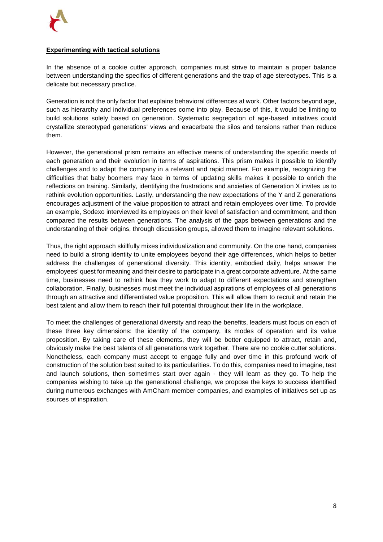# **Experimenting with tactical solutions**

In the absence of a cookie cutter approach, companies must strive to maintain a proper balance between understanding the specifics of different generations and the trap of age stereotypes. This is a delicate but necessary practice.

Generation is not the only factor that explains behavioral differences at work. Other factors beyond age, such as hierarchy and individual preferences come into play. Because of this, it would be limiting to build solutions solely based on generation. Systematic segregation of age-based initiatives could crystallize stereotyped generations' views and exacerbate the silos and tensions rather than reduce them.

However, the generational prism remains an effective means of understanding the specific needs of each generation and their evolution in terms of aspirations. This prism makes it possible to identify challenges and to adapt the company in a relevant and rapid manner. For example, recognizing the difficulties that baby boomers may face in terms of updating skills makes it possible to enrich the reflections on training. Similarly, identifying the frustrations and anxieties of Generation X invites us to rethink evolution opportunities. Lastly, understanding the new expectations of the Y and Z generations encourages adjustment of the value proposition to attract and retain employees over time. To provide an example, Sodexo interviewed its employees on their level of satisfaction and commitment, and then compared the results between generations. The analysis of the gaps between generations and the understanding of their origins, through discussion groups, allowed them to imagine relevant solutions.

Thus, the right approach skillfully mixes individualization and community. On the one hand, companies need to build a strong identity to unite employees beyond their age differences, which helps to better address the challenges of generational diversity. This identity, embodied daily, helps answer the employees' quest for meaning and their desire to participate in a great corporate adventure. At the same time, businesses need to rethink how they work to adapt to different expectations and strengthen collaboration. Finally, businesses must meet the individual aspirations of employees of all generations through an attractive and differentiated value proposition. This will allow them to recruit and retain the best talent and allow them to reach their full potential throughout their life in the workplace.

To meet the challenges of generational diversity and reap the benefits, leaders must focus on each of these three key dimensions: the identity of the company, its modes of operation and its value proposition. By taking care of these elements, they will be better equipped to attract, retain and, obviously make the best talents of all generations work together. There are no cookie cutter solutions. Nonetheless, each company must accept to engage fully and over time in this profound work of construction of the solution best suited to its particularities. To do this, companies need to imagine, test and launch solutions, then sometimes start over again - they will learn as they go. To help the companies wishing to take up the generational challenge, we propose the keys to success identified during numerous exchanges with AmCham member companies, and examples of initiatives set up as sources of inspiration.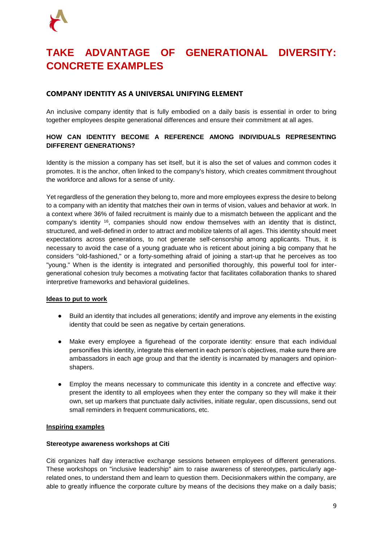# <span id="page-8-0"></span>**TAKE ADVANTAGE OF GENERATIONAL DIVERSITY: CONCRETE EXAMPLES**

# <span id="page-8-1"></span>**COMPANY IDENTITY AS A UNIVERSAL UNIFYING ELEMENT**

An inclusive company identity that is fully embodied on a daily basis is essential in order to bring together employees despite generational differences and ensure their commitment at all ages.

# **HOW CAN IDENTITY BECOME A REFERENCE AMONG INDIVIDUALS REPRESENTING DIFFERENT GENERATIONS?**

Identity is the mission a company has set itself, but it is also the set of values and common codes it promotes. It is the anchor, often linked to the company's history, which creates commitment throughout the workforce and allows for a sense of unity.

Yet regardless of the generation they belong to, more and more employees express the desire to belong to a company with an identity that matches their own in terms of vision, values and behavior at work. In a context where 36% of failed recruitment is mainly due to a mismatch between the applicant and the company's identity <sup>16</sup>, companies should now endow themselves with an identity that is distinct, structured, and well-defined in order to attract and mobilize talents of all ages. This identity should meet expectations across generations, to not generate self-censorship among applicants. Thus, it is necessary to avoid the case of a young graduate who is reticent about joining a big company that he considers "old-fashioned," or a forty-something afraid of joining a start-up that he perceives as too "young." When is the identity is integrated and personified thoroughly, this powerful tool for intergenerational cohesion truly becomes a motivating factor that facilitates collaboration thanks to shared interpretive frameworks and behavioral guidelines.

# **Ideas to put to work**

- Build an identity that includes all generations; identify and improve any elements in the existing identity that could be seen as negative by certain generations.
- Make every employee a figurehead of the corporate identity: ensure that each individual personifies this identity, integrate this element in each person's objectives, make sure there are ambassadors in each age group and that the identity is incarnated by managers and opinionshapers.
- Employ the means necessary to communicate this identity in a concrete and effective way: present the identity to all employees when they enter the company so they will make it their own, set up markers that punctuate daily activities, initiate regular, open discussions, send out small reminders in frequent communications, etc.

# **Inspiring examples**

# **Stereotype awareness workshops at Citi**

Citi organizes half day interactive exchange sessions between employees of different generations. These workshops on "inclusive leadership" aim to raise awareness of stereotypes, particularly agerelated ones, to understand them and learn to question them. Decisionmakers within the company, are able to greatly influence the corporate culture by means of the decisions they make on a daily basis;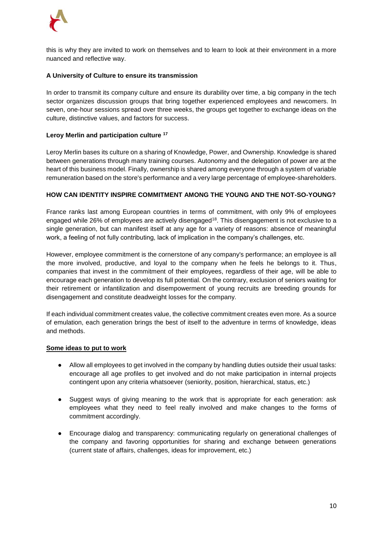

this is why they are invited to work on themselves and to learn to look at their environment in a more nuanced and reflective way.

# **A University of Culture to ensure its transmission**

In order to transmit its company culture and ensure its durability over time, a big company in the tech sector organizes discussion groups that bring together experienced employees and newcomers. In seven, one-hour sessions spread over three weeks, the groups get together to exchange ideas on the culture, distinctive values, and factors for success.

#### **Leroy Merlin and participation culture <sup>17</sup>**

Leroy Merlin bases its culture on a sharing of Knowledge, Power, and Ownership. Knowledge is shared between generations through many training courses. Autonomy and the delegation of power are at the heart of this business model. Finally, ownership is shared among everyone through a system of variable remuneration based on the store's performance and a very large percentage of employee-shareholders.

#### **HOW CAN IDENTITY INSPIRE COMMITMENT AMONG THE YOUNG AND THE NOT-SO-YOUNG?**

France ranks last among European countries in terms of commitment, with only 9% of employees engaged while 26% of employees are actively disengaged<sup>18</sup>. This disengagement is not exclusive to a single generation, but can manifest itself at any age for a variety of reasons: absence of meaningful work, a feeling of not fully contributing, lack of implication in the company's challenges, etc.

However, employee commitment is the cornerstone of any company's performance; an employee is all the more involved, productive, and loyal to the company when he feels he belongs to it. Thus, companies that invest in the commitment of their employees, regardless of their age, will be able to encourage each generation to develop its full potential. On the contrary, exclusion of seniors waiting for their retirement or infantilization and disempowerment of young recruits are breeding grounds for disengagement and constitute deadweight losses for the company.

If each individual commitment creates value, the collective commitment creates even more. As a source of emulation, each generation brings the best of itself to the adventure in terms of knowledge, ideas and methods.

#### **Some ideas to put to work**

- Allow all employees to get involved in the company by handling duties outside their usual tasks: encourage all age profiles to get involved and do not make participation in internal projects contingent upon any criteria whatsoever (seniority, position, hierarchical, status, etc.)
- Suggest ways of giving meaning to the work that is appropriate for each generation: ask employees what they need to feel really involved and make changes to the forms of commitment accordingly.
- Encourage dialog and transparency: communicating regularly on generational challenges of the company and favoring opportunities for sharing and exchange between generations (current state of affairs, challenges, ideas for improvement, etc.)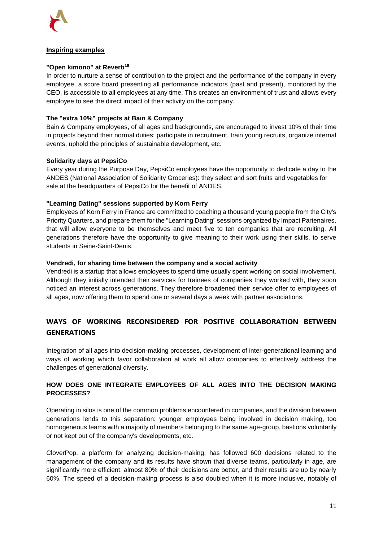

# **Inspiring examples**

# **"Open kimono" at Reverb<sup>19</sup>**

In order to nurture a sense of contribution to the project and the performance of the company in every employee, a score board presenting all performance indicators (past and present), monitored by the CEO, is accessible to all employees at any time. This creates an environment of trust and allows every employee to see the direct impact of their activity on the company.

# **The "extra 10%" projects at Bain & Company**

Bain & Company employees, of all ages and backgrounds, are encouraged to invest 10% of their time in projects beyond their normal duties: participate in recruitment, train young recruits, organize internal events, uphold the principles of sustainable development, etc.

# **Solidarity days at PepsiCo**

Every year during the Purpose Day, PepsiCo employees have the opportunity to dedicate a day to the ANDES (National Association of Solidarity Groceries): they select and sort fruits and vegetables for sale at the headquarters of PepsiCo for the benefit of ANDES.

# **"Learning Dating" sessions supported by Korn Ferry**

Employees of Korn Ferry in France are committed to coaching a thousand young people from the City's Priority Quarters, and prepare them for the "Learning Dating" sessions organized by Impact Partenaires, that will allow everyone to be themselves and meet five to ten companies that are recruiting. All generations therefore have the opportunity to give meaning to their work using their skills, to serve students in Seine-Saint-Denis.

# **Vendredi, for sharing time between the company and a social activity**

Vendredi is a startup that allows employees to spend time usually spent working on social involvement. Although they initially intended their services for trainees of companies they worked with, they soon noticed an interest across generations. They therefore broadened their service offer to employees of all ages, now offering them to spend one or several days a week with partner associations.

# <span id="page-10-0"></span>**WAYS OF WORKING RECONSIDERED FOR POSITIVE COLLABORATION BETWEEN GENERATIONS**

Integration of all ages into decision-making processes, development of inter-generational learning and ways of working which favor collaboration at work all allow companies to effectively address the challenges of generational diversity.

# **HOW DOES ONE INTEGRATE EMPLOYEES OF ALL AGES INTO THE DECISION MAKING PROCESSES?**

Operating in silos is one of the common problems encountered in companies, and the division between generations lends to this separation: younger employees being involved in decision making, too homogeneous teams with a majority of members belonging to the same age-group, bastions voluntarily or not kept out of the company's developments, etc.

CloverPop, a platform for analyzing decision-making, has followed 600 decisions related to the management of the company and its results have shown that diverse teams, particularly in age, are significantly more efficient: almost 80% of their decisions are better, and their results are up by nearly 60%. The speed of a decision-making process is also doubled when it is more inclusive, notably of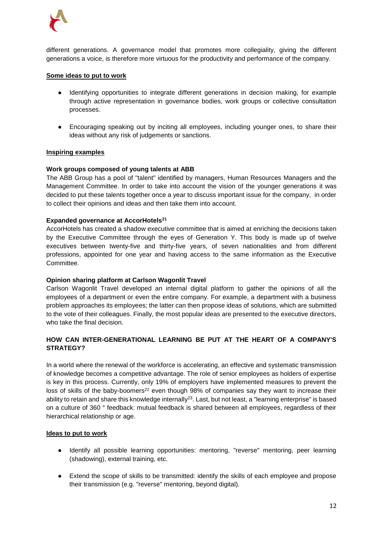

different generations. A governance model that promotes more collegiality, giving the different generations a voice, is therefore more virtuous for the productivity and performance of the company.

### **Some ideas to put to work**

- Identifying opportunities to integrate different generations in decision making, for example through active representation in governance bodies, work groups or collective consultation processes.
- Encouraging speaking out by inciting all employees, including younger ones, to share their ideas without any risk of judgements or sanctions.

#### **Inspiring examples**

#### **Work groups composed of young talents at ABB**

The ABB Group has a pool of "talent" identified by managers, Human Resources Managers and the Management Committee. In order to take into account the vision of the younger generations it was decided to put these talents together once a year to discuss important issue for the company, in order to collect their opinions and ideas and then take them into account.

#### **Expanded governance at AccorHotels<sup>21</sup>**

AccorHotels has created a shadow executive committee that is aimed at enriching the decisions taken by the Executive Committee through the eyes of Generation Y. This body is made up of twelve executives between twenty-five and thirty-five years, of seven nationalities and from different professions, appointed for one year and having access to the same information as the Executive Committee.

#### **Opinion sharing platform at Carlson Wagonlit Travel**

Carlson Wagonlit Travel developed an internal digital platform to gather the opinions of all the employees of a department or even the entire company. For example, a department with a business problem approaches its employees; the latter can then propose ideas of solutions, which are submitted to the vote of their colleagues. Finally, the most popular ideas are presented to the executive directors, who take the final decision.

# **HOW CAN INTER-GENERATIONAL LEARNING BE PUT AT THE HEART OF A COMPANY'S STRATEGY?**

In a world where the renewal of the workforce is accelerating, an effective and systematic transmission of knowledge becomes a competitive advantage. The role of senior employees as holders of expertise is key in this process. Currently, only 19% of employers have implemented measures to prevent the loss of skills of the baby-boomers<sup>22</sup> even though 98% of companies say they want to increase their ability to retain and share this knowledge internally<sup>23</sup>. Last, but not least, a "learning enterprise" is based on a culture of 360 ° feedback: mutual feedback is shared between all employees, regardless of their hierarchical relationship or age.

#### **Ideas to put to work**

- Identify all possible learning opportunities: mentoring, "reverse" mentoring, peer learning (shadowing), external training, etc.
- Extend the scope of skills to be transmitted: identify the skills of each employee and propose their transmission (e.g. "reverse" mentoring, beyond digital).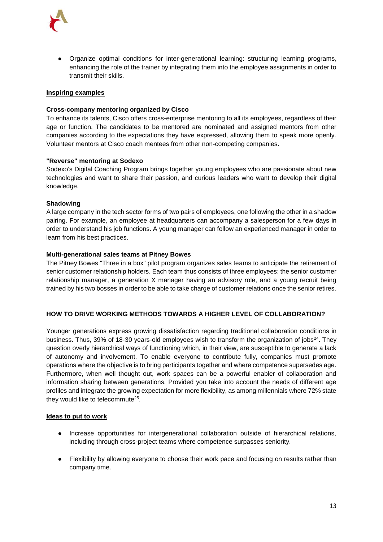

● Organize optimal conditions for inter-generational learning: structuring learning programs, enhancing the role of the trainer by integrating them into the employee assignments in order to transmit their skills.

### **Inspiring examples**

#### **Cross-company mentoring organized by Cisco**

To enhance its talents, Cisco offers cross-enterprise mentoring to all its employees, regardless of their age or function. The candidates to be mentored are nominated and assigned mentors from other companies according to the expectations they have expressed, allowing them to speak more openly. Volunteer mentors at Cisco coach mentees from other non-competing companies.

#### **"Reverse" mentoring at Sodexo**

Sodexo's Digital Coaching Program brings together young employees who are passionate about new technologies and want to share their passion, and curious leaders who want to develop their digital knowledge.

#### **Shadowing**

A large company in the tech sector forms of two pairs of employees, one following the other in a shadow pairing. For example, an employee at headquarters can accompany a salesperson for a few days in order to understand his job functions. A young manager can follow an experienced manager in order to learn from his best practices.

#### **Multi-generational sales teams at Pitney Bowes**

The Pitney Bowes "Three in a box" pilot program organizes sales teams to anticipate the retirement of senior customer relationship holders. Each team thus consists of three employees: the senior customer relationship manager, a generation X manager having an advisory role, and a young recruit being trained by his two bosses in order to be able to take charge of customer relations once the senior retires.

# **HOW TO DRIVE WORKING METHODS TOWARDS A HIGHER LEVEL OF COLLABORATION?**

Younger generations express growing dissatisfaction regarding traditional collaboration conditions in business. Thus, 39% of 18-30 years-old employees wish to transform the organization of jobs<sup>24</sup>. They question overly hierarchical ways of functioning which, in their view, are susceptible to generate a lack of autonomy and involvement. To enable everyone to contribute fully, companies must promote operations where the objective is to bring participants together and where competence supersedes age. Furthermore, when well thought out, work spaces can be a powerful enabler of collaboration and information sharing between generations. Provided you take into account the needs of different age profiles and integrate the growing expectation for more flexibility, as among millennials where 72% state they would like to telecommute<sup>25</sup>.

#### **Ideas to put to work**

- Increase opportunities for intergenerational collaboration outside of hierarchical relations, including through cross-project teams where competence surpasses seniority.
- Flexibility by allowing everyone to choose their work pace and focusing on results rather than company time.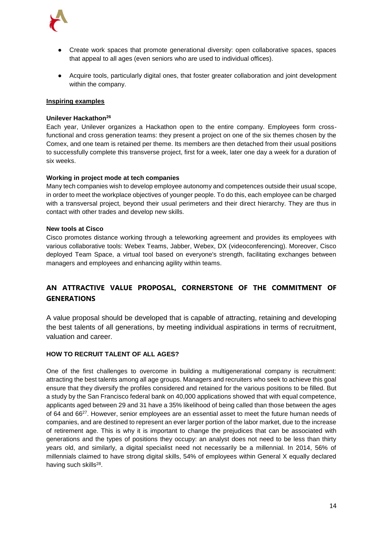

- Create work spaces that promote generational diversity: open collaborative spaces, spaces that appeal to all ages (even seniors who are used to individual offices).
- Acquire tools, particularly digital ones, that foster greater collaboration and joint development within the company.

#### **Inspiring examples**

#### **Unilever Hackathon<sup>26</sup>**

Each year, Unilever organizes a Hackathon open to the entire company. Employees form crossfunctional and cross generation teams: they present a project on one of the six themes chosen by the Comex, and one team is retained per theme. Its members are then detached from their usual positions to successfully complete this transverse project, first for a week, later one day a week for a duration of six weeks.

#### **Working in project mode at tech companies**

Many tech companies wish to develop employee autonomy and competences outside their usual scope, in order to meet the workplace objectives of younger people. To do this, each employee can be charged with a transversal project, beyond their usual perimeters and their direct hierarchy. They are thus in contact with other trades and develop new skills.

#### **New tools at Cisco**

Cisco promotes distance working through a teleworking agreement and provides its employees with various collaborative tools: Webex Teams, Jabber, Webex, DX (videoconferencing). Moreover, Cisco deployed Team Space, a virtual tool based on everyone's strength, facilitating exchanges between managers and employees and enhancing agility within teams.

# <span id="page-13-0"></span>**AN ATTRACTIVE VALUE PROPOSAL, CORNERSTONE OF THE COMMITMENT OF GENERATIONS**

A value proposal should be developed that is capable of attracting, retaining and developing the best talents of all generations, by meeting individual aspirations in terms of recruitment, valuation and career.

# **HOW TO RECRUIT TALENT OF ALL AGES?**

One of the first challenges to overcome in building a multigenerational company is recruitment: attracting the best talents among all age groups. Managers and recruiters who seek to achieve this goal ensure that they diversify the profiles considered and retained for the various positions to be filled. But a study by the San Francisco federal bank on 40,000 applications showed that with equal competence, applicants aged between 29 and 31 have a 35% likelihood of being called than those between the ages of 64 and 66<sup>27</sup>. However, senior employees are an essential asset to meet the future human needs of companies, and are destined to represent an ever larger portion of the labor market, due to the increase of retirement age. This is why it is important to change the prejudices that can be associated with generations and the types of positions they occupy: an analyst does not need to be less than thirty years old, and similarly, a digital specialist need not necessarily be a millennial. In 2014, 56% of millennials claimed to have strong digital skills, 54% of employees within General X equally declared having such skills<sup>28</sup>.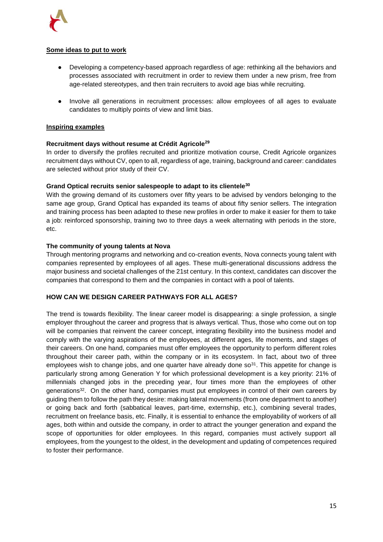

# **Some ideas to put to work**

- Developing a competency-based approach regardless of age: rethinking all the behaviors and processes associated with recruitment in order to review them under a new prism, free from age-related stereotypes, and then train recruiters to avoid age bias while recruiting.
- Involve all generations in recruitment processes: allow employees of all ages to evaluate candidates to multiply points of view and limit bias.

# **Inspiring examples**

# **Recruitment days without resume at Crédit Agricole<sup>29</sup>**

In order to diversify the profiles recruited and prioritize motivation course, Credit Agricole organizes recruitment days without CV, open to all, regardless of age, training, background and career: candidates are selected without prior study of their CV.

# **Grand Optical recruits senior salespeople to adapt to its clientele<sup>30</sup>**

With the growing demand of its customers over fifty years to be advised by vendors belonging to the same age group, Grand Optical has expanded its teams of about fifty senior sellers. The integration and training process has been adapted to these new profiles in order to make it easier for them to take a job: reinforced sponsorship, training two to three days a week alternating with periods in the store, etc.

# **The community of young talents at Nova**

Through mentoring programs and networking and co-creation events, Nova connects young talent with companies represented by employees of all ages. These multi-generational discussions address the major business and societal challenges of the 21st century. In this context, candidates can discover the companies that correspond to them and the companies in contact with a pool of talents.

# **HOW CAN WE DESIGN CAREER PATHWAYS FOR ALL AGES?**

The trend is towards flexibility. The linear career model is disappearing: a single profession, a single employer throughout the career and progress that is always vertical. Thus, those who come out on top will be companies that reinvent the career concept, integrating flexibility into the business model and comply with the varying aspirations of the employees, at different ages, life moments, and stages of their careers. On one hand, companies must offer employees the opportunity to perform different roles throughout their career path, within the company or in its ecosystem. In fact, about two of three employees wish to change jobs, and one quarter have already done  $\mathfrak{so}^{31}$ . This appetite for change is particularly strong among Generation Y for which professional development is a key priority: 21% of millennials changed jobs in the preceding year, four times more than the employees of other generations<sup>32</sup>. On the other hand, companies must put employees in control of their own careers by guiding them to follow the path they desire: making lateral movements (from one department to another) or going back and forth (sabbatical leaves, part-time, externship, etc.), combining several trades, recruitment on freelance basis, etc. Finally, it is essential to enhance the employability of workers of all ages, both within and outside the company, in order to attract the younger generation and expand the scope of opportunities for older employees. In this regard, companies must actively support all employees, from the youngest to the oldest, in the development and updating of competences required to foster their performance.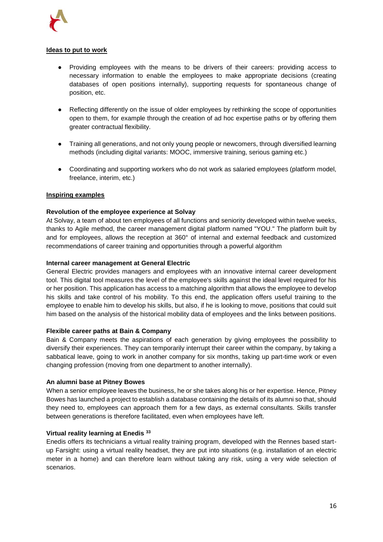

### **Ideas to put to work**

- Providing employees with the means to be drivers of their careers: providing access to necessary information to enable the employees to make appropriate decisions (creating databases of open positions internally), supporting requests for spontaneous change of position, etc.
- Reflecting differently on the issue of older employees by rethinking the scope of opportunities open to them, for example through the creation of ad hoc expertise paths or by offering them greater contractual flexibility.
- Training all generations, and not only young people or newcomers, through diversified learning methods (including digital variants: MOOC, immersive training, serious gaming etc.)
- Coordinating and supporting workers who do not work as salaried employees (platform model, freelance, interim, etc.)

#### **Inspiring examples**

#### **Revolution of the employee experience at Solvay**

At Solvay, a team of about ten employees of all functions and seniority developed within twelve weeks, thanks to Agile method, the career management digital platform named "YOU." The platform built by and for employees, allows the reception at 360° of internal and external feedback and customized recommendations of career training and opportunities through a powerful algorithm

#### **Internal career management at General Electric**

General Electric provides managers and employees with an innovative internal career development tool. This digital tool measures the level of the employee's skills against the ideal level required for his or her position. This application has access to a matching algorithm that allows the employee to develop his skills and take control of his mobility. To this end, the application offers useful training to the employee to enable him to develop his skills, but also, if he is looking to move, positions that could suit him based on the analysis of the historical mobility data of employees and the links between positions.

#### **Flexible career paths at Bain & Company**

Bain & Company meets the aspirations of each generation by giving employees the possibility to diversify their experiences. They can temporarily interrupt their career within the company, by taking a sabbatical leave, going to work in another company for six months, taking up part-time work or even changing profession (moving from one department to another internally).

#### **An alumni base at Pitney Bowes**

When a senior employee leaves the business, he or she takes along his or her expertise. Hence, Pitney Bowes has launched a project to establish a database containing the details of its alumni so that, should they need to, employees can approach them for a few days, as external consultants. Skills transfer between generations is therefore facilitated, even when employees have left.

#### **Virtual reality learning at Enedis <sup>33</sup>**

Enedis offers its technicians a virtual reality training program, developed with the Rennes based startup Farsight: using a virtual reality headset, they are put into situations (e.g. installation of an electric meter in a home) and can therefore learn without taking any risk, using a very wide selection of scenarios.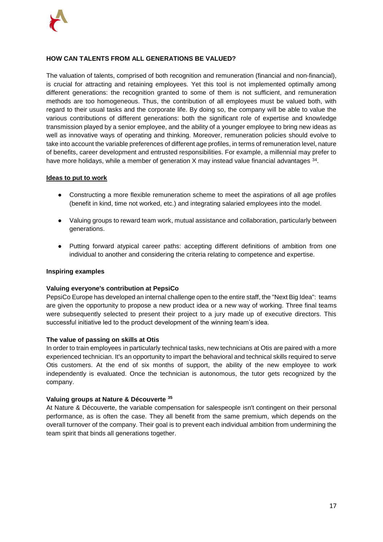

# **HOW CAN TALENTS FROM ALL GENERATIONS BE VALUED?**

The valuation of talents, comprised of both recognition and remuneration (financial and non-financial), is crucial for attracting and retaining employees. Yet this tool is not implemented optimally among different generations: the recognition granted to some of them is not sufficient, and remuneration methods are too homogeneous. Thus, the contribution of all employees must be valued both, with regard to their usual tasks and the corporate life. By doing so, the company will be able to value the various contributions of different generations: both the significant role of expertise and knowledge transmission played by a senior employee, and the ability of a younger employee to bring new ideas as well as innovative ways of operating and thinking. Moreover, remuneration policies should evolve to take into account the variable preferences of different age profiles, in terms of remuneration level, nature of benefits, career development and entrusted responsibilities. For example, a millennial may prefer to have more holidays, while a member of generation X may instead value financial advantages  $34$ .

#### **Ideas to put to work**

- Constructing a more flexible remuneration scheme to meet the aspirations of all age profiles (benefit in kind, time not worked, etc.) and integrating salaried employees into the model.
- Valuing groups to reward team work, mutual assistance and collaboration, particularly between generations.
- Putting forward atypical career paths: accepting different definitions of ambition from one individual to another and considering the criteria relating to competence and expertise.

### **Inspiring examples**

# **Valuing everyone's contribution at PepsiCo**

PepsiCo Europe has developed an internal challenge open to the entire staff, the "Next Big Idea": teams are given the opportunity to propose a new product idea or a new way of working. Three final teams were subsequently selected to present their project to a jury made up of executive directors. This successful initiative led to the product development of the winning team's idea.

#### **The value of passing on skills at Otis**

In order to train employees in particularly technical tasks, new technicians at Otis are paired with a more experienced technician. It's an opportunity to impart the behavioral and technical skills required to serve Otis customers. At the end of six months of support, the ability of the new employee to work independently is evaluated. Once the technician is autonomous, the tutor gets recognized by the company.

#### **Valuing groups at Nature & Découverte <sup>35</sup>**

At Nature & Découverte, the variable compensation for salespeople isn't contingent on their personal performance, as is often the case. They all benefit from the same premium, which depends on the overall turnover of the company. Their goal is to prevent each individual ambition from undermining the team spirit that binds all generations together.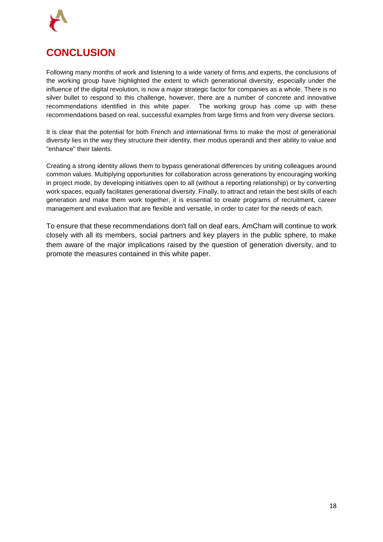

# <span id="page-17-0"></span>**CONCLUSION**

Following many months of work and listening to a wide variety of firms and experts, the conclusions of the working group have highlighted the extent to which generational diversity, especially under the influence of the digital revolution, is now a major strategic factor for companies as a whole. There is no silver bullet to respond to this challenge, however, there are a number of concrete and innovative recommendations identified in this white paper. The working group has come up with these recommendations based on real, successful examples from large firms and from very diverse sectors.

It is clear that the potential for both French and international firms to make the most of generational diversity lies in the way they structure their identity, their modus operandi and their ability to value and "enhance" their talents.

Creating a strong identity allows them to bypass generational differences by uniting colleagues around common values. Multiplying opportunities for collaboration across generations by encouraging working in project mode, by developing initiatives open to all (without a reporting relationship) or by converting work spaces, equally facilitates generational diversity. Finally, to attract and retain the best skills of each generation and make them work together, it is essential to create programs of recruitment, career management and evaluation that are flexible and versatile, in order to cater for the needs of each.

To ensure that these recommendations don't fall on deaf ears, AmCham will continue to work closely with all its members, social partners and key players in the public sphere, to make them aware of the major implications raised by the question of generation diversity, and to promote the measures contained in this white paper.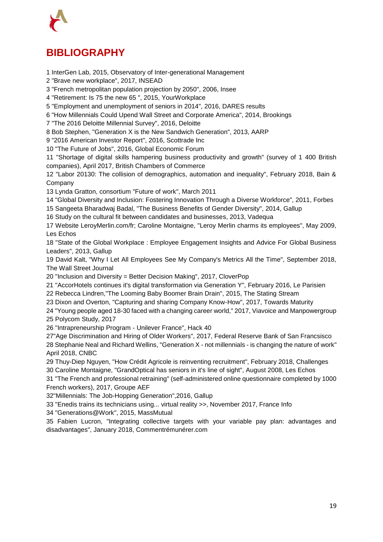

# <span id="page-18-0"></span>**BIBLIOGRAPHY**

1 InterGen Lab, 2015, Observatory of Inter-generational Management

2 "Brave new workplace", 2017, INSEAD

3 "French metropolitan population projection by 2050", 2006, Insee

4 "Retirement: Is 75 the new 65 ", 2015, YourWorkplace

5 "Employment and unemployment of seniors in 2014", 2016, DARES results

6 "How Millennials Could Upend Wall Street and Corporate America", 2014, Brookings

7 "The 2016 Deloitte Millennial Survey", 2016, Deloitte

8 Bob Stephen, "Generation X is the New Sandwich Generation", 2013, AARP

9 "2016 American Investor Report", 2016, Scottrade Inc

10 "The Future of Jobs", 2016, Global Economic Forum

11 "Shortage of digital skills hampering business productivity and growth" (survey of 1 400 British companies), April 2017, British Chambers of Commerce

12 "Labor 20130: The collision of demographics, automation and inequality", February 2018, Bain & Company

13 Lynda Gratton, consortium "Future of work", March 2011

14 "Global Diversity and Inclusion: Fostering Innovation Through a Diverse Workforce", 2011, Forbes

15 Sangeeta Bharadwaj Badal, "The Business Benefits of Gender Diversity", 2014, Gallup

16 Study on the cultural fit between candidates and businesses, 2013, Vadequa

17 Website LeroyMerlin.com/fr; Caroline Montaigne, "Leroy Merlin charms its employees", May 2009, Les Echos

18 "State of the Global Workplace : Employee Engagement Insights and Advice For Global Business Leaders", 2013, Gallup

19 David Kalt, "Why I Let All Employees See My Company's Metrics All the Time", September 2018, The Wall Street Journal

20 "Inclusion and Diversity = Better Decision Making", 2017, CloverPop

21 "AccorHotels continues it's digital transformation via Generation Y", February 2016, Le Parisien

22 Rebecca Lindren,"The Looming Baby Boomer Brain Drain", 2015, The Stating Stream

23 Dixon and Overton, "Capturing and sharing Company Know-How", 2017, Towards Maturity

24 "Young people aged 18-30 faced with a changing career world," 2017, Viavoice and Manpowergroup 25 Polycom Study, 2017

26 "Intrapreneurship Program - Unilever France", Hack 40

27"Age Discrimination and Hiring of Older Workers", 2017, Federal Reserve Bank of San Francsisco 28 Stephanie Neal and Richard Wellins, "Generation X - not millennials - is changing the nature of work" April 2018, CNBC

29 Thuy-Diep Nguyen, "How Crédit Agricole is reinventing recruitment", February 2018, Challenges 30 Caroline Montaigne, "GrandOptical has seniors in it's line of sight", August 2008, Les Echos

31 "The French and professional retraining" (self-administered online questionnaire completed by 1000 French workers), 2017, Groupe AEF

32"Millennials: The Job-Hopping Generation",2016, Gallup

33 "Enedis trains its technicians using... virtual reality >>, November 2017, France Info

34 "Generations@Work", 2015, MassMutual

35 Fabien Lucron, "Integrating collective targets with your variable pay plan: advantages and disadvantages", January 2018, Commentrémunérer.com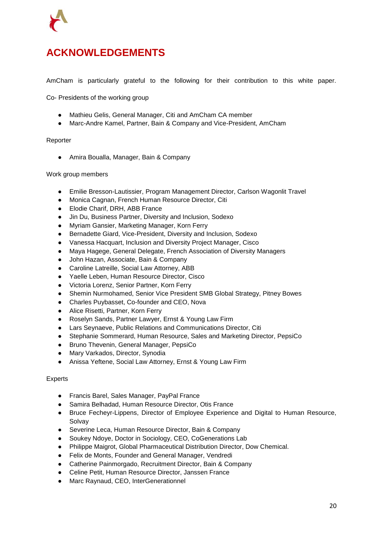

# <span id="page-19-0"></span>**ACKNOWLEDGEMENTS**

AmCham is particularly grateful to the following for their contribution to this white paper.

Co- Presidents of the working group

- Mathieu Gelis, General Manager, Citi and AmCham CA member
- Marc-Andre Kamel, Partner, Bain & Company and Vice-President, AmCham

#### Reporter

● Amira Boualla, Manager, Bain & Company

#### Work group members

- Emilie Bresson-Lautissier, Program Management Director, Carlson Wagonlit Travel
- Monica Cagnan, French Human Resource Director, Citi
- Elodie Charif, DRH, ABB France
- Jin Du, Business Partner, Diversity and Inclusion, Sodexo
- Myriam Gansier, Marketing Manager, Korn Ferry
- Bernadette Giard, Vice-President, Diversity and Inclusion, Sodexo
- Vanessa Hacquart, Inclusion and Diversity Project Manager, Cisco
- Maya Hagege, General Delegate, French Association of Diversity Managers
- John Hazan, Associate, Bain & Company
- Caroline Latreille, Social Law Attorney, ABB
- Yaelle Leben, Human Resource Director, Cisco
- Victoria Lorenz, Senior Partner, Korn Ferry
- Shemin Nurmohamed, Senior Vice President SMB Global Strategy, Pitney Bowes
- Charles Puybasset, Co-founder and CEO, Nova
- Alice Risetti, Partner, Korn Ferry
- Roselyn Sands, Partner Lawyer, Ernst & Young Law Firm
- Lars Seynaeve, Public Relations and Communications Director, Citi
- Stephanie Sommerard, Human Resource, Sales and Marketing Director, PepsiCo
- Bruno Thevenin, General Manager, PepsiCo
- Mary Varkados, Director, Synodia
- Anissa Yeftene, Social Law Attorney, Ernst & Young Law Firm

#### Experts

- Francis Barel, Sales Manager, PayPal France
- Samira Belhadad, Human Resource Director, Otis France
- Bruce Fecheyr-Lippens, Director of Employee Experience and Digital to Human Resource, **Solvav**
- Severine Leca, Human Resource Director, Bain & Company
- Soukey Ndoye, Doctor in Sociology, CEO, CoGenerations Lab
- Philippe Maigrot, Global Pharmaceutical Distribution Director, Dow Chemical.
- Felix de Monts, Founder and General Manager, Vendredi
- Catherine Painmorgado, Recruitment Director, Bain & Company
- Celine Petit, Human Resource Director, Janssen France
- Marc Raynaud, CEO, InterGenerationnel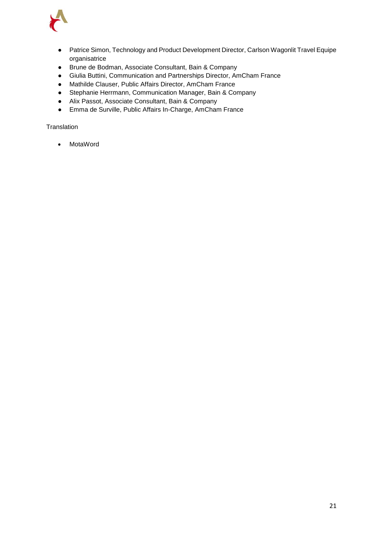

- Patrice Simon, Technology and Product Development Director, Carlson Wagonlit Travel Equipe organisatrice
- Brune de Bodman, Associate Consultant, Bain & Company
- Giulia Buttini, Communication and Partnerships Director, AmCham France
- Mathilde Clauser, Public Affairs Director, AmCham France
- Stephanie Herrmann, Communication Manager, Bain & Company
- Alix Passot, Associate Consultant, Bain & Company
- Emma de Surville, Public Affairs In-Charge, AmCham France

**Translation** 

• MotaWord